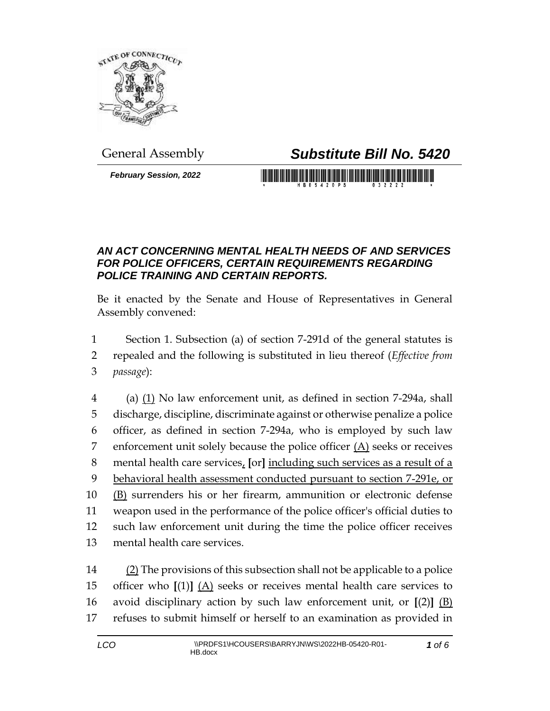

## General Assembly *Substitute Bill No. 5420*

*February Session, 2022*

## <u> 1999 - Johann Maria Maria Maria Maria Maria Maria Maria Maria Maria Maria Maria Maria Maria Maria Maria Mari</u>

## *AN ACT CONCERNING MENTAL HEALTH NEEDS OF AND SERVICES FOR POLICE OFFICERS, CERTAIN REQUIREMENTS REGARDING POLICE TRAINING AND CERTAIN REPORTS.*

Be it enacted by the Senate and House of Representatives in General Assembly convened:

1 Section 1. Subsection (a) of section 7-291d of the general statutes is

2 repealed and the following is substituted in lieu thereof (*Effective from*  3 *passage*):

4 (a)  $(1)$  No law enforcement unit, as defined in section 7-294a, shall discharge, discipline, discriminate against or otherwise penalize a police officer, as defined in section 7-294a, who is employed by such law 7 enforcement unit solely because the police officer  $(A)$  seeks or receives mental health care services, **[**or**]** including such services as a result of a behavioral health assessment conducted pursuant to section 7-291e, or (B) surrenders his or her firearm, ammunition or electronic defense weapon used in the performance of the police officer's official duties to such law enforcement unit during the time the police officer receives mental health care services.

 (2) The provisions of this subsection shall not be applicable to a police officer who **[**(1)**]** (A) seeks or receives mental health care services to avoid disciplinary action by such law enforcement unit, or **[**(2)**]** (B) refuses to submit himself or herself to an examination as provided in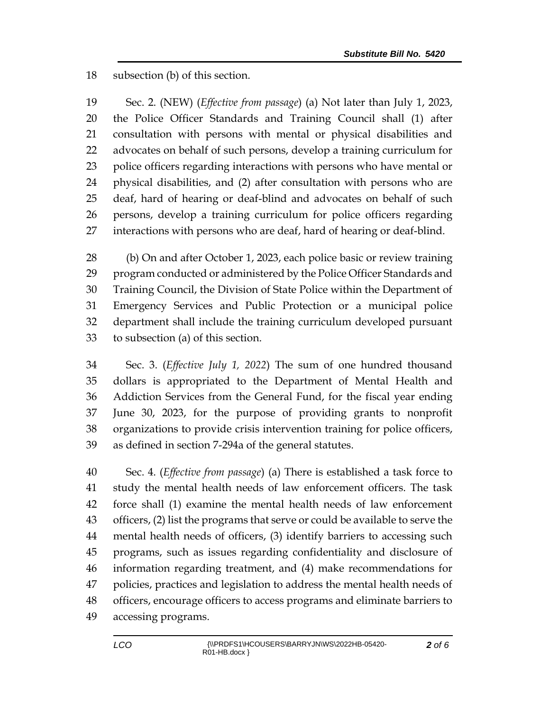subsection (b) of this section.

 Sec. 2. (NEW) (*Effective from passage*) (a) Not later than July 1, 2023, the Police Officer Standards and Training Council shall (1) after consultation with persons with mental or physical disabilities and advocates on behalf of such persons, develop a training curriculum for police officers regarding interactions with persons who have mental or physical disabilities, and (2) after consultation with persons who are deaf, hard of hearing or deaf-blind and advocates on behalf of such persons, develop a training curriculum for police officers regarding interactions with persons who are deaf, hard of hearing or deaf-blind.

 (b) On and after October 1, 2023, each police basic or review training program conducted or administered by the Police Officer Standards and Training Council, the Division of State Police within the Department of Emergency Services and Public Protection or a municipal police department shall include the training curriculum developed pursuant to subsection (a) of this section.

 Sec. 3. (*Effective July 1, 2022*) The sum of one hundred thousand dollars is appropriated to the Department of Mental Health and Addiction Services from the General Fund, for the fiscal year ending June 30, 2023, for the purpose of providing grants to nonprofit organizations to provide crisis intervention training for police officers, as defined in section 7-294a of the general statutes.

 Sec. 4. (*Effective from passage*) (a) There is established a task force to study the mental health needs of law enforcement officers. The task force shall (1) examine the mental health needs of law enforcement officers, (2) list the programs that serve or could be available to serve the mental health needs of officers, (3) identify barriers to accessing such programs, such as issues regarding confidentiality and disclosure of information regarding treatment, and (4) make recommendations for policies, practices and legislation to address the mental health needs of officers, encourage officers to access programs and eliminate barriers to accessing programs.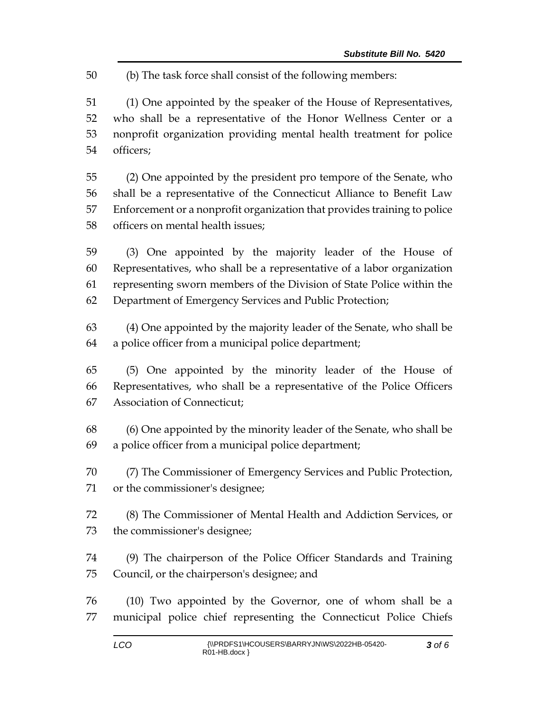(b) The task force shall consist of the following members:

 (1) One appointed by the speaker of the House of Representatives, who shall be a representative of the Honor Wellness Center or a nonprofit organization providing mental health treatment for police officers;

 (2) One appointed by the president pro tempore of the Senate, who shall be a representative of the Connecticut Alliance to Benefit Law Enforcement or a nonprofit organization that provides training to police officers on mental health issues;

 (3) One appointed by the majority leader of the House of Representatives, who shall be a representative of a labor organization representing sworn members of the Division of State Police within the Department of Emergency Services and Public Protection;

 (4) One appointed by the majority leader of the Senate, who shall be a police officer from a municipal police department;

 (5) One appointed by the minority leader of the House of Representatives, who shall be a representative of the Police Officers Association of Connecticut;

 (6) One appointed by the minority leader of the Senate, who shall be a police officer from a municipal police department;

 (7) The Commissioner of Emergency Services and Public Protection, or the commissioner's designee;

 (8) The Commissioner of Mental Health and Addiction Services, or the commissioner's designee;

 (9) The chairperson of the Police Officer Standards and Training Council, or the chairperson's designee; and

 (10) Two appointed by the Governor, one of whom shall be a municipal police chief representing the Connecticut Police Chiefs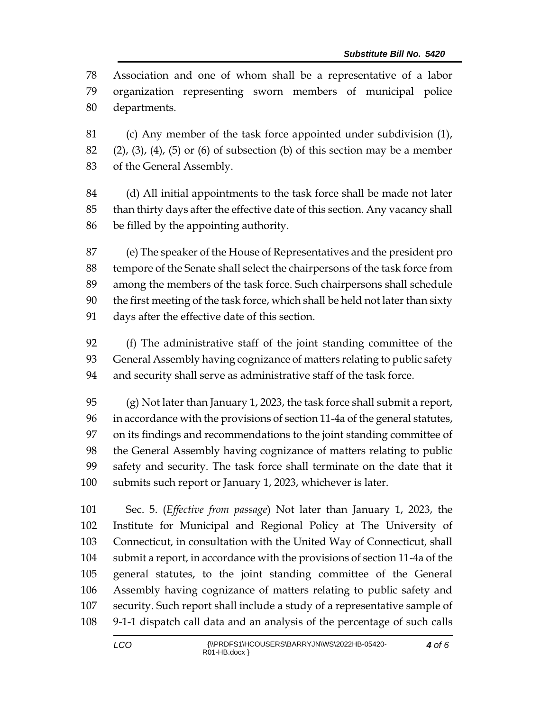Association and one of whom shall be a representative of a labor organization representing sworn members of municipal police departments.

 (c) Any member of the task force appointed under subdivision (1), 82 (2), (3), (4), (5) or (6) of subsection (b) of this section may be a member of the General Assembly.

 (d) All initial appointments to the task force shall be made not later than thirty days after the effective date of this section. Any vacancy shall be filled by the appointing authority.

 (e) The speaker of the House of Representatives and the president pro tempore of the Senate shall select the chairpersons of the task force from among the members of the task force. Such chairpersons shall schedule the first meeting of the task force, which shall be held not later than sixty days after the effective date of this section.

 (f) The administrative staff of the joint standing committee of the General Assembly having cognizance of matters relating to public safety and security shall serve as administrative staff of the task force.

 (g) Not later than January 1, 2023, the task force shall submit a report, in accordance with the provisions of section 11-4a of the general statutes, on its findings and recommendations to the joint standing committee of the General Assembly having cognizance of matters relating to public safety and security. The task force shall terminate on the date that it submits such report or January 1, 2023, whichever is later.

 Sec. 5. (*Effective from passage*) Not later than January 1, 2023, the Institute for Municipal and Regional Policy at The University of Connecticut, in consultation with the United Way of Connecticut, shall submit a report, in accordance with the provisions of section 11-4a of the general statutes, to the joint standing committee of the General Assembly having cognizance of matters relating to public safety and security. Such report shall include a study of a representative sample of 9-1-1 dispatch call data and an analysis of the percentage of such calls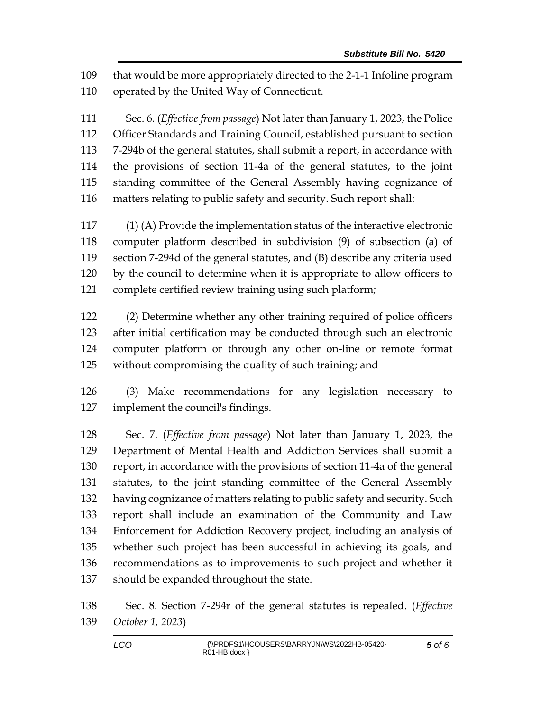that would be more appropriately directed to the 2-1-1 Infoline program operated by the United Way of Connecticut.

 Sec. 6. (*Effective from passage*) Not later than January 1, 2023, the Police Officer Standards and Training Council, established pursuant to section 7-294b of the general statutes, shall submit a report, in accordance with the provisions of section 11-4a of the general statutes, to the joint standing committee of the General Assembly having cognizance of matters relating to public safety and security. Such report shall:

 (1) (A) Provide the implementation status of the interactive electronic computer platform described in subdivision (9) of subsection (a) of section 7-294d of the general statutes, and (B) describe any criteria used by the council to determine when it is appropriate to allow officers to complete certified review training using such platform;

 (2) Determine whether any other training required of police officers after initial certification may be conducted through such an electronic computer platform or through any other on-line or remote format without compromising the quality of such training; and

 (3) Make recommendations for any legislation necessary to implement the council's findings.

 Sec. 7. (*Effective from passage*) Not later than January 1, 2023, the Department of Mental Health and Addiction Services shall submit a report, in accordance with the provisions of section 11-4a of the general statutes, to the joint standing committee of the General Assembly having cognizance of matters relating to public safety and security. Such report shall include an examination of the Community and Law Enforcement for Addiction Recovery project, including an analysis of whether such project has been successful in achieving its goals, and recommendations as to improvements to such project and whether it should be expanded throughout the state.

 Sec. 8. Section 7-294r of the general statutes is repealed. (*Effective October 1, 2023*)